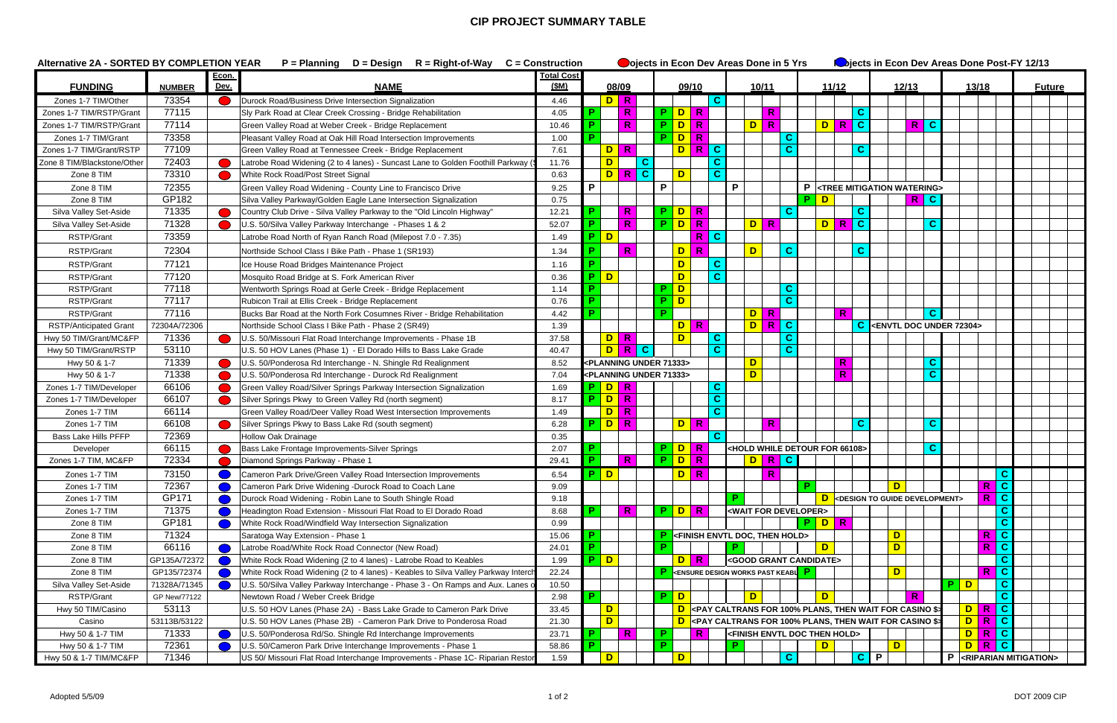## **CIP PROJECT SUMMARY TABLE**

| <b>Alternative 2A - SORTED BY COMPLETION YEAR</b> |                     |              | $P =$ Planning $D =$ Design $R =$ Right-of-Way $C =$ Construction                 |                    |                      |                                         | Oojects in Econ Dev Areas Done in 5 Yrs            |    |                                     |              | <b>O</b> jects in Econ Dev Areas Done Post-FY 12/13                                                                                                                                                            |   |              |              |                                                |               |  |
|---------------------------------------------------|---------------------|--------------|-----------------------------------------------------------------------------------|--------------------|----------------------|-----------------------------------------|----------------------------------------------------|----|-------------------------------------|--------------|----------------------------------------------------------------------------------------------------------------------------------------------------------------------------------------------------------------|---|--------------|--------------|------------------------------------------------|---------------|--|
|                                                   |                     | <u>Econ.</u> |                                                                                   | <u> Fotal Cost</u> |                      |                                         |                                                    |    |                                     |              |                                                                                                                                                                                                                |   |              |              |                                                |               |  |
| <b>FUNDING</b>                                    | <b>NUMBER</b>       | Dev.         | <b>NAME</b>                                                                       | (SM)               |                      | 08/09                                   | 09/10<br>10/11                                     |    |                                     |              | 11/12                                                                                                                                                                                                          |   | 12/13        |              | 13/18                                          | <b>Future</b> |  |
| Zones 1-7 TIM/Other                               | 73354               |              | Durock Road/Business Drive Intersection Signalization                             | 4.46               | Þ                    | D R                                     | C.                                                 |    |                                     |              |                                                                                                                                                                                                                |   |              |              |                                                |               |  |
| Zones 1-7 TIM/RSTP/Grant                          | 77115               |              | Sly Park Road at Clear Creek Crossing - Bridge Rehabilitation                     | 4.05               |                      | $\mathsf{R}$                            | P.<br>D<br>$\mathbf R$                             |    | $\mathbf R$                         |              | C.                                                                                                                                                                                                             |   |              |              |                                                |               |  |
| Zones 1-7 TIM/RSTP/Grant                          | 77114               |              | Green Valley Road at Weber Creek - Bridge Replacement                             | 10.46              | Þ                    | $\mathbb{R}$                            | P.<br>D<br>$\overline{\mathbf{R}}$                 |    | $\mathbf R$<br>D                    |              | DRC                                                                                                                                                                                                            |   | RC           |              |                                                |               |  |
| Zones 1-7 TIM/Grant                               | 73358               |              | Pleasant Valley Road at Oak Hill Road Intersection Improvements                   | 1.00               | P                    |                                         | P.<br>D R                                          |    |                                     | $\mathbf{C}$ |                                                                                                                                                                                                                |   |              |              |                                                |               |  |
| Zones 1-7 TIM/Grant/RSTP                          | 77109               |              | Green Valley Road at Tennessee Creek - Bridge Replacement                         | 7.61               | $\mathsf{D}$         | $\overline{\mathbf{R}}$                 | RC<br>D                                            |    |                                     | $\mathbf C$  | C                                                                                                                                                                                                              |   |              |              |                                                |               |  |
| Zone 8 TIM/Blackstone/Other                       | 72403               |              | Latrobe Road Widening (2 to 4 lanes) - Suncast Lane to Golden Foothill Parkway    | 11.76              | D                    | $\mathbf{C}$                            | C                                                  |    |                                     |              |                                                                                                                                                                                                                |   |              |              |                                                |               |  |
| Zone 8 TIM                                        | 73310               |              | White Rock Road/Post Street Signal                                                | 0.63               | $\mathsf{D}$         | RC                                      | D<br>C                                             |    |                                     |              |                                                                                                                                                                                                                |   |              |              |                                                |               |  |
| Zone 8 TIM                                        | 72355               |              | Green Valley Road Widening - County Line to Francisco Drive                       | 9.25               | P                    |                                         | P                                                  | P  |                                     |              | P <tree mitigation="" watering=""></tree>                                                                                                                                                                      |   |              |              |                                                |               |  |
| Zone 8 TIM                                        | GP182               |              | Silva Valley Parkway/Golden Eagle Lane Intersection Signalization                 | 0.75               |                      |                                         |                                                    |    |                                     | P            | $\mathbf{D}$                                                                                                                                                                                                   |   | R C          |              |                                                |               |  |
| Silva Valley Set-Aside                            | 71335               |              | Country Club Drive - Silva Valley Parkway to the "Old Lincoln Highway"            | 12.21              | P                    | $\mathbf R$                             | $\overline{D}$<br>P.<br>$\overline{R}$             |    |                                     | $\mathbf{C}$ | C                                                                                                                                                                                                              |   |              |              |                                                |               |  |
| Silva Valley Set-Aside                            | 71328               |              | U.S. 50/Silva Valley Parkway Interchange - Phases 1 & 2                           | 52.07              | Ð                    | $\mathbf R$                             | PD<br>$\mathbb{R}$                                 |    | $\mathbf R$<br>$\mathsf{D}$         |              | DRC                                                                                                                                                                                                            |   |              | $\mathbf{C}$ |                                                |               |  |
| <b>RSTP/Grant</b>                                 | 73359               |              | Latrobe Road North of Ryan Ranch Road (Milepost 7.0 - 7.35)                       | 1.49               | $\blacksquare$<br>P. |                                         | RC                                                 |    |                                     |              |                                                                                                                                                                                                                |   |              |              |                                                |               |  |
| RSTP/Grant                                        | 72304               |              | Northside School Class I Bike Path - Phase 1 (SR193)                              | 1.34               | D                    | $\mathbf R$                             | D<br>$\mathbf R$                                   |    | D                                   | $\mathbf{C}$ | C                                                                                                                                                                                                              |   |              |              |                                                |               |  |
| RSTP/Grant                                        | 77121               |              | Ice House Road Bridges Maintenance Project                                        | 1.16               | Ð                    |                                         | D<br>C                                             |    |                                     |              |                                                                                                                                                                                                                |   |              |              |                                                |               |  |
| RSTP/Grant                                        | 77120               |              | Mosquito Road Bridge at S. Fork American River                                    | 0.36               | P.<br>$\overline{D}$ |                                         | D<br>C                                             |    |                                     |              |                                                                                                                                                                                                                |   |              |              |                                                |               |  |
| RSTP/Grant                                        | 77118               |              | Wentworth Springs Road at Gerle Creek - Bridge Replacement                        | 1.14               | Ð                    |                                         | $\mathbf{D}$<br>D.                                 |    |                                     | $\mathbf c$  |                                                                                                                                                                                                                |   |              |              |                                                |               |  |
|                                                   | 77117               |              |                                                                                   | 0.76               | Þ                    |                                         | D<br>D                                             |    |                                     | $\mathbf{C}$ |                                                                                                                                                                                                                |   |              |              |                                                |               |  |
| RSTP/Grant                                        | 77116               |              | Rubicon Trail at Ellis Creek - Bridge Replacement                                 |                    | D.                   |                                         | D                                                  |    |                                     |              | $\mathbf R$                                                                                                                                                                                                    |   |              | $\mathbf{C}$ |                                                |               |  |
| RSTP/Grant                                        |                     |              | Bucks Bar Road at the North Fork Cosumnes River - Bridge Rehabilitation           | 4.42               |                      |                                         |                                                    |    | $\mathsf{D}$<br>$\mathbf R$         |              |                                                                                                                                                                                                                |   |              |              |                                                |               |  |
| <b>RSTP/Anticipated Grant</b>                     | 72304A/72306        |              | Northside School Class I Bike Path - Phase 2 (SR49)                               | 1.39               |                      |                                         | D<br>$\mathbf R$                                   |    | $\mathbf R$<br>D                    | $\mathbf{C}$ |                                                                                                                                                                                                                |   |              |              | C <envtl 72304="" doc="" under=""></envtl>     |               |  |
| Hwy 50 TIM/Grant/MC&FP                            | 71336               |              | U.S. 50/Missouri Flat Road Interchange Improvements - Phase 1B                    | 37.58              |                      | D R                                     | $\mathbf{C}$<br>D                                  |    |                                     | C            |                                                                                                                                                                                                                |   |              |              |                                                |               |  |
| Hwy 50 TIM/Grant/RSTP                             | 53110               |              | U.S. 50 HOV Lanes (Phase 1) - El Dorado Hills to Bass Lake Grade                  | 40.47              | $\mathsf{D}$         | RC                                      | Ċ                                                  |    |                                     | $\mathbf C$  |                                                                                                                                                                                                                |   |              |              |                                                |               |  |
| Hwy 50 & 1-7                                      | 71339               |              | U.S. 50/Ponderosa Rd Interchange - N. Shingle Rd Realignment                      | 8.52               |                      | <planning 71333="" under=""></planning> |                                                    |    | D                                   |              | $\mathsf{R}$                                                                                                                                                                                                   |   |              | $\mathbf{C}$ |                                                |               |  |
| Hwy 50 & 1-7                                      | 71338               |              | U.S. 50/Ponderosa Rd Interchange - Durock Rd Realignment                          | 7.04               |                      | <planning 71333="" under=""></planning> |                                                    |    | D                                   |              | $\mathbf R$                                                                                                                                                                                                    |   |              | $\mathbf{C}$ |                                                |               |  |
| Zones 1-7 TIM/Developer                           | 66106               |              | Green Valley Road/Silver Springs Parkway Intersection Signalization               | 1.69               | P.<br>$\mathsf{D}$   | $\mathbf R$                             | $\mathbf c$                                        |    |                                     |              |                                                                                                                                                                                                                |   |              |              |                                                |               |  |
| Zones 1-7 TIM/Developer                           | 66107               |              | Silver Springs Pkwy to Green Valley Rd (north segment)                            | 8.17               | $P$ D                | $\overline{\mathbf{R}}$                 | C                                                  |    |                                     |              |                                                                                                                                                                                                                |   |              |              |                                                |               |  |
| Zones 1-7 TIM                                     | 66114               |              | Green Valley Road/Deer Valley Road West Intersection Improvements                 | 1.49               | D                    | $\mathbf R$                             | C                                                  |    |                                     |              |                                                                                                                                                                                                                |   |              |              |                                                |               |  |
| Zones 1-7 TIM                                     | 66108               |              | Silver Springs Pkwy to Bass Lake Rd (south segment)                               | 6.28               | $P$ D                | $\mathbf R$                             | R<br>$\mathsf{D}$                                  |    | $\mathbf R$                         |              | C                                                                                                                                                                                                              |   |              | $\mathbf{C}$ |                                                |               |  |
| <b>Bass Lake Hills PFFP</b>                       | 72369               |              | <b>Hollow Oak Drainage</b>                                                        | 0.35               |                      |                                         | C                                                  |    |                                     |              |                                                                                                                                                                                                                |   |              |              |                                                |               |  |
| Developer                                         | 66115               |              | Bass Lake Frontage Improvements-Silver Springs                                    | 2.07               | Þ                    |                                         | P.<br>$\overline{D}$<br>$\overline{\mathbf{R}}$    |    |                                     |              | <hold 66108="" detour="" for="" while=""></hold>                                                                                                                                                               |   |              | $\mathbf{C}$ |                                                |               |  |
| Zones 1-7 TIM, MC&FP                              | 72334               |              | Diamond Springs Parkway - Phase 1                                                 | 29.41              | P.                   | $\mathbf R$                             | P.<br>$\mathbf{D}$<br>$\mathbf R$                  |    | $\mathsf{D}$                        | RC           |                                                                                                                                                                                                                |   |              |              |                                                |               |  |
| Zones 1-7 TIM                                     | 73150               |              | Cameron Park Drive/Green Valley Road Intersection Improvements                    | 6.54               | $P$ D                |                                         | D R                                                |    | $\mathbf R$                         |              |                                                                                                                                                                                                                |   |              |              | C                                              |               |  |
| Zones 1-7 TIM                                     | 72367               |              | Cameron Park Drive Widening -Durock Road to Coach Lane                            | 9.09               |                      |                                         |                                                    |    |                                     | P.           |                                                                                                                                                                                                                | D |              |              | $\mathbf C$<br>$\mathsf{R}$                    |               |  |
| Zones 1-7 TIM                                     | GP171               |              | Durock Road Widening - Robin Lane to South Shingle Road                           | 9.18               |                      |                                         |                                                    | P. |                                     |              | D <design development="" guide="" to=""></design>                                                                                                                                                              |   |              |              | $\mathbf{C}$<br>$\mathbf R$                    |               |  |
| Zones 1-7 TIM                                     | 71375               |              | Headington Road Extension - Missouri Flat Road to El Dorado Road                  | 8.68               | P                    | $\mathsf{R}$                            | $P$ $D$ $R$                                        |    | <wait developer="" for=""></wait>   |              |                                                                                                                                                                                                                |   |              |              | Ć                                              |               |  |
| Zone 8 TIM                                        | GP181               |              | White Rock Road/Windfield Way Intersection Signalization                          | 0.99               |                      |                                         |                                                    |    |                                     |              | $P$ D R                                                                                                                                                                                                        |   |              |              | C                                              |               |  |
| Zone 8 TIM                                        | 71324               |              | Saratoga Way Extension - Phase 1                                                  | 15.06              | P.                   |                                         | <finish doc,="" envtl="" hold="" then=""></finish> |    |                                     |              |                                                                                                                                                                                                                | D |              |              | $\mathbf C$<br>$\mathsf{R}$                    |               |  |
| Zone 8 TIM                                        | 66116               |              | Latrobe Road/White Rock Road Connector (New Road)                                 | 24.01              | P                    |                                         |                                                    | P. |                                     |              | D                                                                                                                                                                                                              | D |              |              | $\mathbf C$<br>$\mathbf{R}$                    |               |  |
| Zone 8 TIM                                        | GP135A/72372        |              | White Rock Road Widening (2 to 4 lanes) - Latrobe Road to Keables                 | 1.99               | $P$ D                |                                         | D R                                                |    | <good candidate="" grant=""></good> |              |                                                                                                                                                                                                                |   |              |              | Ć                                              |               |  |
| Zone 8 TIM                                        | GP135/72374         |              | White Rock Road Widening (2 to 4 lanes) - Keables to Silva Valley Parkway Interch | 22.24              |                      |                                         | <b>ENSURE DESIGN WORKS PAST KEABL P</b>            |    |                                     |              |                                                                                                                                                                                                                | D |              |              | $\mathbf{C}$<br>$\mathsf{R}$                   |               |  |
| Silva Valley Set-Aside                            | 71328A/71345        |              | U.S. 50/Silva Valley Parkway Interchange - Phase 3 - On Ramps and Aux. Lanes o    | 10.50              |                      |                                         |                                                    |    |                                     |              |                                                                                                                                                                                                                |   |              |              | $P$ D<br>$\mathbf{C}$                          |               |  |
| RSTP/Grant                                        | <b>GP New/77122</b> |              | Newtown Road / Weber Creek Bridge                                                 | 2.98               | P                    |                                         | P-<br>$\mathbf{D}$                                 |    | D.                                  |              | D                                                                                                                                                                                                              |   | $\mathbb{R}$ |              | $\mathbf C$                                    |               |  |
| Hwy 50 TIM/Casino                                 | 53113               |              | U.S. 50 HOV Lanes (Phase 2A) - Bass Lake Grade to Cameron Park Drive              | 33.45              | D                    |                                         |                                                    |    |                                     |              | <b>D</b> <pay \$<="" 100%="" caltrans="" casino="" for="" plans,="" td="" then="" wait=""><td></td><td></td><td></td><td>RC<br/><math>\mathsf{D}</math></td><td></td><td></td></pay>                           |   |              |              | RC<br>$\mathsf{D}$                             |               |  |
| Casino                                            | 53113B/53122        |              | U.S. 50 HOV Lanes (Phase 2B) - Cameron Park Drive to Ponderosa Road               | 21.30              | D                    |                                         |                                                    |    |                                     |              | <b>D</b> <pay \$<="" 100%="" caltrans="" casino="" for="" plans,="" td="" then="" wait=""><td></td><td></td><td></td><td>D<br/><math>\mathbf{C}</math><br/><math>\mathbf R</math></td><td></td><td></td></pay> |   |              |              | D<br>$\mathbf{C}$<br>$\mathbf R$               |               |  |
| Hwy 50 & 1-7 TIM                                  | 71333               |              | U.S. 50/Ponderosa Rd/So. Shingle Rd Interchange Improvements                      | 23.71              | Þ                    | $\mathbf R$                             | $\mathsf{R}$                                       |    |                                     |              | <finish doc="" envtl="" hold="" then=""></finish>                                                                                                                                                              |   |              |              | $\overline{\phantom{a}}$ C<br>D<br>$\mathbf R$ |               |  |
| Hwy 50 & 1-7 TIM                                  | 72361               |              | U.S. 50/Cameron Park Drive Interchange Improvements - Phase 1                     | 58.86              | D                    |                                         | D.                                                 | Р. |                                     |              | D                                                                                                                                                                                                              | D |              |              | RC<br>D                                        |               |  |
| Hwy 50 & 1-7 TIM/MC&FP                            | 71346               |              | US 50/ Missouri Flat Road Interchange Improvements - Phase 1C- Riparian Restor    | 1.59               | <sub>D</sub>         |                                         | D.                                                 |    |                                     | $\mathbf C$  | $\mathbf{C}$                                                                                                                                                                                                   | P |              |              | P <riparian mitigation=""></riparian>          |               |  |